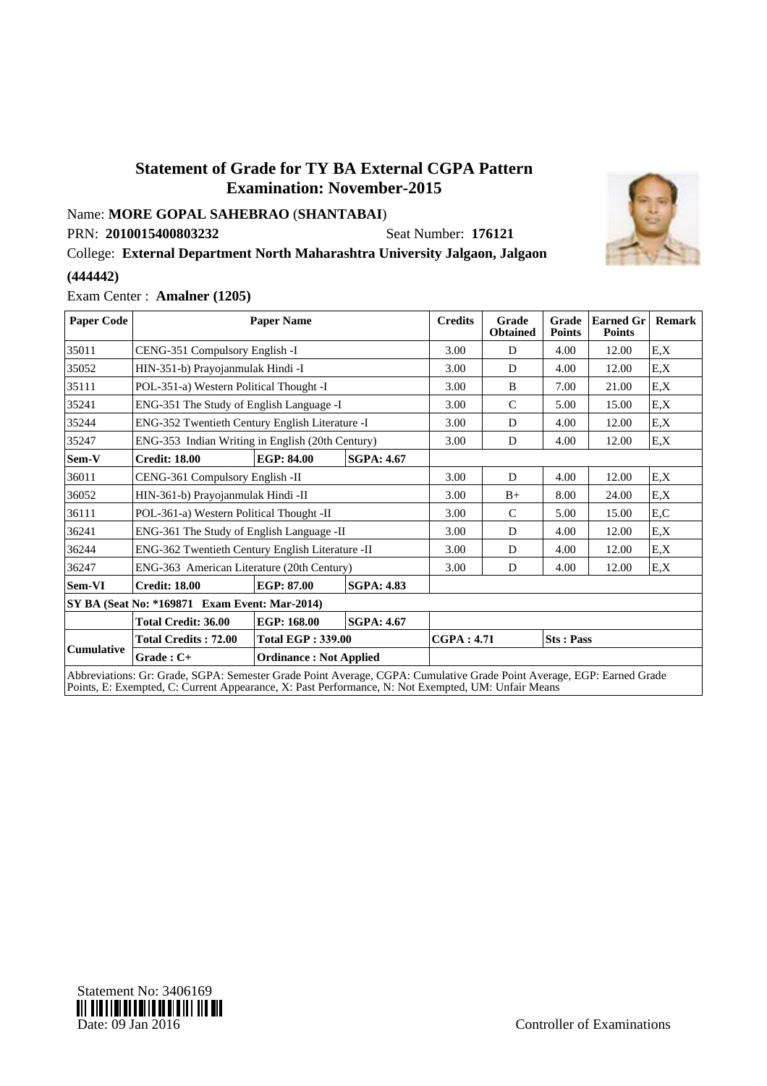Name: **MORE GOPAL SAHEBRAO** (**SHANTABAI**)

PRN: **2010015400803232** Seat Number: **176121**

College: **External Department North Maharashtra University Jalgaon, Jalgaon**

### **(444442)**

Exam Center : **Amalner (1205)**

| <b>Paper Code</b>                                                                                                     | <b>Paper Name</b>                                |                                                  |                   | <b>Credits</b>    | Grade<br><b>Obtained</b> | Grade<br><b>Points</b> | <b>Earned Gr</b><br><b>Points</b> | <b>Remark</b> |  |
|-----------------------------------------------------------------------------------------------------------------------|--------------------------------------------------|--------------------------------------------------|-------------------|-------------------|--------------------------|------------------------|-----------------------------------|---------------|--|
| 35011                                                                                                                 | CENG-351 Compulsory English -I                   |                                                  |                   | 3.00              | D                        | 4.00                   | 12.00                             | E, X          |  |
| 35052                                                                                                                 | HIN-351-b) Prayojanmulak Hindi -I                |                                                  |                   | 3.00              | D                        | 4.00                   | 12.00                             | E.X           |  |
| 35111                                                                                                                 | POL-351-a) Western Political Thought -I          |                                                  |                   | 3.00              | B                        | 7.00                   | 21.00                             | E, X          |  |
| 35241                                                                                                                 | ENG-351 The Study of English Language -I         |                                                  |                   | 3.00              | $\mathcal{C}$            | 5.00                   | 15.00                             | E, X          |  |
| 35244                                                                                                                 | ENG-352 Twentieth Century English Literature -I  |                                                  |                   | 3.00              | D                        | 4.00                   | 12.00                             | E, X          |  |
| 35247                                                                                                                 |                                                  | ENG-353 Indian Writing in English (20th Century) |                   |                   | D                        | 4.00                   | 12.00                             | E, X          |  |
| Sem-V                                                                                                                 | <b>Credit: 18.00</b>                             | EGP: 84.00                                       | <b>SGPA: 4.67</b> |                   |                          |                        |                                   |               |  |
| 36011                                                                                                                 | CENG-361 Compulsory English -II                  |                                                  |                   | 3.00              | D                        | 4.00                   | 12.00                             | E,X           |  |
| 36052                                                                                                                 | HIN-361-b) Prayojanmulak Hindi -II               |                                                  |                   | 3.00              | $B+$                     | 8.00                   | 24.00                             | E, X          |  |
| 36111                                                                                                                 | POL-361-a) Western Political Thought -II         |                                                  |                   | 3.00              | C                        | 5.00                   | 15.00                             | E,C           |  |
| 36241                                                                                                                 | ENG-361 The Study of English Language -II        |                                                  |                   | 3.00              | D                        | 4.00                   | 12.00                             | E, X          |  |
| 36244                                                                                                                 | ENG-362 Twentieth Century English Literature -II |                                                  |                   | 3.00              | D                        | 4.00                   | 12.00                             | E, X          |  |
| 36247                                                                                                                 | ENG-363 American Literature (20th Century)       |                                                  |                   | 3.00              | D                        | 4.00                   | 12.00                             | E.X           |  |
| Sem-VI                                                                                                                | <b>Credit: 18.00</b>                             | EGP: 87.00                                       | <b>SGPA: 4.83</b> |                   |                          |                        |                                   |               |  |
| SY BA (Seat No: *169871 Exam Event: Mar-2014)                                                                         |                                                  |                                                  |                   |                   |                          |                        |                                   |               |  |
|                                                                                                                       | <b>Total Credit: 36.00</b>                       | EGP: 168.00                                      | <b>SGPA: 4.67</b> |                   |                          |                        |                                   |               |  |
| <b>Cumulative</b>                                                                                                     | <b>Total Credits: 72.00</b>                      | <b>Total EGP: 339.00</b>                         |                   | <b>CGPA: 4.71</b> |                          | <b>Sts: Pass</b>       |                                   |               |  |
|                                                                                                                       | $Grade: C+$                                      | <b>Ordinance: Not Applied</b>                    |                   |                   |                          |                        |                                   |               |  |
| Abbreviations: Gr: Grade, SGPA: Semester Grade Point Average, CGPA: Cumulative Grade Point Average, EGP: Earned Grade |                                                  |                                                  |                   |                   |                          |                        |                                   |               |  |

Abbreviations: Gr: Grade, SGPA: Semester Grade Point Average, CGPA: Cumulative Grade Point Average, EGP: Earned Grade Points, E: Exempted, C: Current Appearance, X: Past Performance, N: Not Exempted, UM: Unfair Means



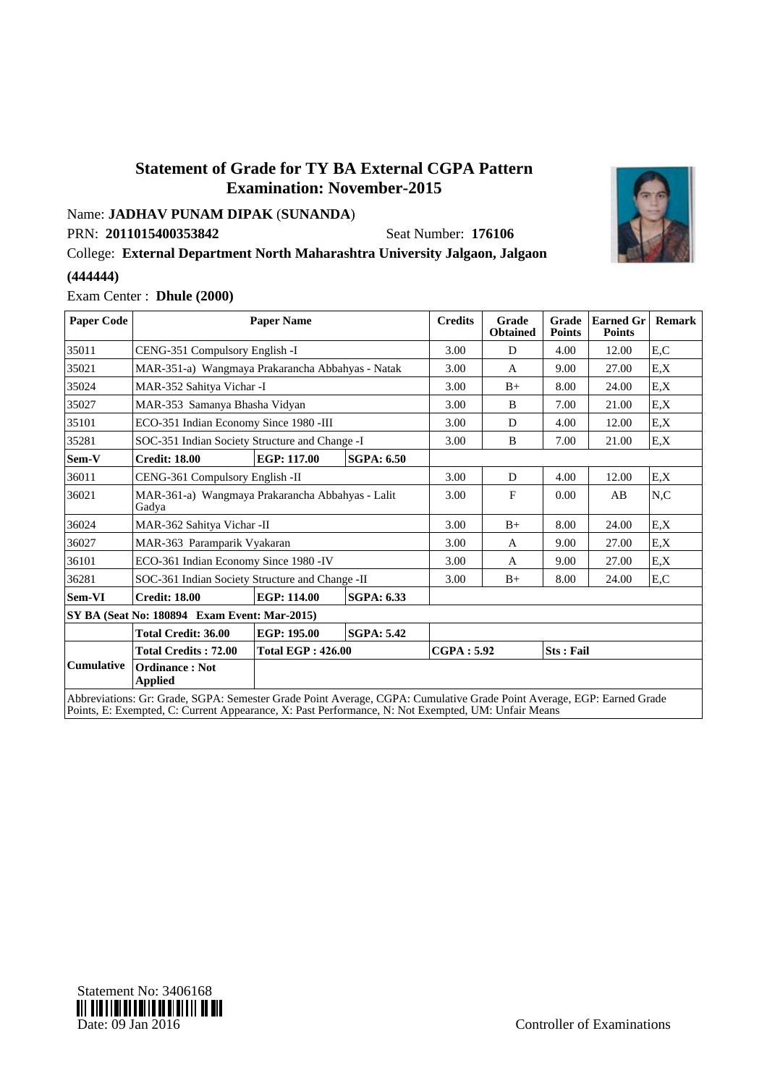Name: **JADHAV PUNAM DIPAK** (**SUNANDA**)

PRN: **2011015400353842** Seat Number: **176106**

College: **External Department North Maharashtra University Jalgaon, Jalgaon**

### **(444444)**

Exam Center : **Dhule (2000)**

| <b>Paper Code</b>                                                                                                     | <b>Paper Name</b>                                         |                                                 |                   | <b>Credits</b> | Grade<br><b>Obtained</b> | Grade<br><b>Points</b> | <b>Earned Gr</b><br><b>Points</b> | <b>Remark</b> |  |
|-----------------------------------------------------------------------------------------------------------------------|-----------------------------------------------------------|-------------------------------------------------|-------------------|----------------|--------------------------|------------------------|-----------------------------------|---------------|--|
| 35011                                                                                                                 | CENG-351 Compulsory English -I                            |                                                 |                   |                | D                        | 4.00                   | 12.00                             | E,C           |  |
| 35021                                                                                                                 | MAR-351-a) Wangmaya Prakarancha Abbahyas - Natak          |                                                 |                   | 3.00           | A                        | 9.00                   | 27.00                             | E, X          |  |
| 35024                                                                                                                 | MAR-352 Sahitya Vichar -I                                 |                                                 |                   | 3.00           | $B+$                     | 8.00                   | 24.00                             | E, X          |  |
| 35027                                                                                                                 | MAR-353 Samanya Bhasha Vidyan                             |                                                 |                   | 3.00           | B                        | 7.00                   | 21.00                             | E, X          |  |
| 35101                                                                                                                 | ECO-351 Indian Economy Since 1980 -III                    |                                                 |                   | 3.00           | D                        | 4.00                   | 12.00                             | E, X          |  |
| 35281                                                                                                                 | SOC-351 Indian Society Structure and Change -I            |                                                 |                   | 3.00           | B                        | 7.00                   | 21.00                             | E, X          |  |
| Sem-V                                                                                                                 | <b>Credit: 18.00</b>                                      | EGP: 117.00                                     | <b>SGPA: 6.50</b> |                |                          |                        |                                   |               |  |
| 36011                                                                                                                 | CENG-361 Compulsory English -II                           |                                                 | 3.00              | D              | 4.00                     | 12.00                  | E, X                              |               |  |
| 36021                                                                                                                 | MAR-361-a) Wangmaya Prakarancha Abbahyas - Lalit<br>Gadya |                                                 |                   | 3.00           | $\mathbf{F}$             | 0.00                   | AB                                | N, C          |  |
| 36024                                                                                                                 | MAR-362 Sahitya Vichar -II                                |                                                 |                   | 3.00           | $B+$                     | 8.00                   | 24.00                             | E, X          |  |
| 36027                                                                                                                 | MAR-363 Paramparik Vyakaran                               |                                                 |                   | 3.00           | A                        | 9.00                   | 27.00                             | E.X           |  |
| 36101                                                                                                                 | ECO-361 Indian Economy Since 1980 -IV                     |                                                 |                   | 3.00           | A                        | 9.00                   | 27.00                             | E, X          |  |
| 36281                                                                                                                 |                                                           | SOC-361 Indian Society Structure and Change -II |                   |                | $B+$                     | 8.00                   | 24.00                             | E,C           |  |
| Sem-VI                                                                                                                | <b>Credit: 18.00</b>                                      | EGP: 114.00                                     | SGPA: 6.33        |                |                          |                        |                                   |               |  |
| SY BA (Seat No: 180894 Exam Event: Mar-2015)                                                                          |                                                           |                                                 |                   |                |                          |                        |                                   |               |  |
|                                                                                                                       | <b>Total Credit: 36.00</b>                                | EGP: 195.00                                     | <b>SGPA: 5.42</b> |                |                          |                        |                                   |               |  |
| <b>Cumulative</b>                                                                                                     | <b>Total Credits: 72.00</b>                               | <b>Total EGP: 426.00</b>                        |                   | CGPA: 5.92     |                          | <b>Sts: Fail</b>       |                                   |               |  |
|                                                                                                                       | <b>Ordinance: Not</b><br><b>Applied</b>                   |                                                 |                   |                |                          |                        |                                   |               |  |
| Abbreviations: Gr: Grade, SGPA: Semester Grade Point Average, CGPA: Cumulative Grade Point Average, EGP: Earned Grade |                                                           |                                                 |                   |                |                          |                        |                                   |               |  |

Abbreviations: Gr: Grade, SGPA: Semester Grade Point Average, CGPA: Cumulative Grade Point Average, EGP: Earned Grade Points, E: Exempted, C: Current Appearance, X: Past Performance, N: Not Exempted, UM: Unfair Means



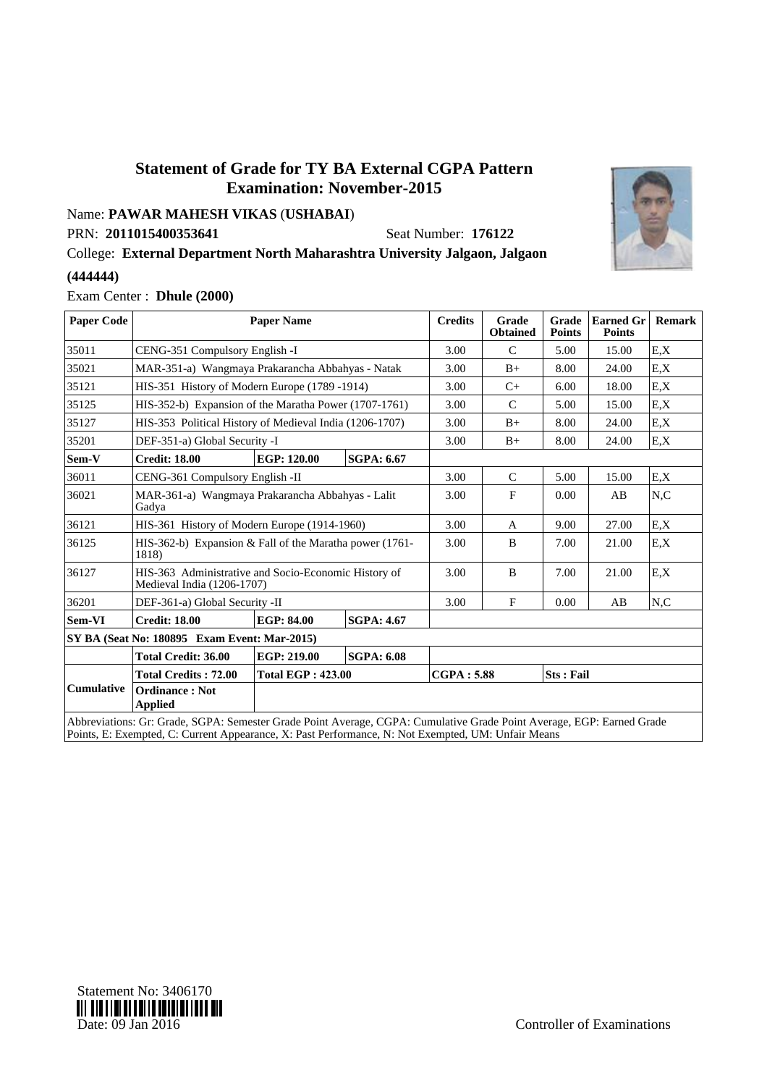# Name: **PAWAR MAHESH VIKAS** (**USHABAI**)

PRN: **2011015400353641** Seat Number: **176122**

College: **External Department North Maharashtra University Jalgaon, Jalgaon**

### **(444444)**

Exam Center : **Dhule (2000)**

| <b>Paper Code</b>                                                                                                                                                                                                           | <b>Paper Name</b>                                                                  |                                 |                   | <b>Credits</b> | Grade<br><b>Obtained</b> | Grade<br><b>Points</b> | <b>Earned Gr</b><br><b>Points</b> | <b>Remark</b> |  |
|-----------------------------------------------------------------------------------------------------------------------------------------------------------------------------------------------------------------------------|------------------------------------------------------------------------------------|---------------------------------|-------------------|----------------|--------------------------|------------------------|-----------------------------------|---------------|--|
| 35011                                                                                                                                                                                                                       | CENG-351 Compulsory English -I                                                     |                                 |                   | 3.00           | $\mathcal{C}$            | 5.00                   | 15.00                             | E.X           |  |
| 35021                                                                                                                                                                                                                       | MAR-351-a) Wangmaya Prakarancha Abbahyas - Natak                                   |                                 |                   | 3.00           | $B+$                     | 8.00                   | 24.00                             | E.X           |  |
| 35121                                                                                                                                                                                                                       | HIS-351 History of Modern Europe (1789 -1914)                                      |                                 |                   | 3.00           | $C+$                     | 6.00                   | 18.00                             | E, X          |  |
| 35125                                                                                                                                                                                                                       | HIS-352-b) Expansion of the Maratha Power (1707-1761)                              |                                 |                   | 3.00           | C                        | 5.00                   | 15.00                             | E, X          |  |
| 35127                                                                                                                                                                                                                       | HIS-353 Political History of Medieval India (1206-1707)                            |                                 |                   | 3.00           | $B+$                     | 8.00                   | 24.00                             | E, X          |  |
| 35201                                                                                                                                                                                                                       | DEF-351-a) Global Security -I                                                      |                                 |                   | 3.00           | $B+$                     | 8.00                   | 24.00                             | E.X           |  |
| Sem-V                                                                                                                                                                                                                       | <b>Credit: 18.00</b>                                                               | EGP: 120.00                     | <b>SGPA: 6.67</b> |                |                          |                        |                                   |               |  |
| 36011                                                                                                                                                                                                                       |                                                                                    | CENG-361 Compulsory English -II |                   |                | $\mathcal{C}$            | 5.00                   | 15.00                             | E, X          |  |
| 36021                                                                                                                                                                                                                       | MAR-361-a) Wangmaya Prakarancha Abbahyas - Lalit<br>Gadya                          |                                 |                   | 3.00           | $\mathbf{F}$             | 0.00                   | AB                                | N.C           |  |
| 36121                                                                                                                                                                                                                       | HIS-361 History of Modern Europe (1914-1960)                                       |                                 |                   | 3.00           | A                        | 9.00                   | 27.00                             | E,X           |  |
| 36125                                                                                                                                                                                                                       | HIS-362-b) Expansion & Fall of the Maratha power (1761-<br>1818)                   |                                 |                   | 3.00           | B                        | 7.00                   | 21.00                             | E,X           |  |
| 36127                                                                                                                                                                                                                       | HIS-363 Administrative and Socio-Economic History of<br>Medieval India (1206-1707) |                                 |                   | 3.00           | B                        | 7.00                   | 21.00                             | E.X           |  |
| 36201                                                                                                                                                                                                                       | DEF-361-a) Global Security -II                                                     |                                 |                   | 3.00           | $\mathbf{F}$             | 0.00                   | AB                                | N, C          |  |
| Sem-VI                                                                                                                                                                                                                      | <b>Credit: 18.00</b>                                                               | EGP: 84.00                      | <b>SGPA: 4.67</b> |                |                          |                        |                                   |               |  |
| SY BA (Seat No: 180895 Exam Event: Mar-2015)                                                                                                                                                                                |                                                                                    |                                 |                   |                |                          |                        |                                   |               |  |
|                                                                                                                                                                                                                             | <b>Total Credit: 36.00</b>                                                         | EGP: 219.00                     | <b>SGPA: 6.08</b> |                |                          |                        |                                   |               |  |
| <b>Cumulative</b>                                                                                                                                                                                                           | Total Credits: 72.00<br><b>Total EGP: 423.00</b>                                   |                                 | CGPA: 5.88        |                | <b>Sts</b> : Fail        |                        |                                   |               |  |
|                                                                                                                                                                                                                             | <b>Ordinance: Not</b><br>Applied                                                   |                                 |                   |                |                          |                        |                                   |               |  |
| Abbreviations: Gr: Grade, SGPA: Semester Grade Point Average, CGPA: Cumulative Grade Point Average, EGP: Earned Grade<br>Points, E: Exempted, C: Current Appearance, X: Past Performance, N: Not Exempted, UM: Unfair Means |                                                                                    |                                 |                   |                |                          |                        |                                   |               |  |